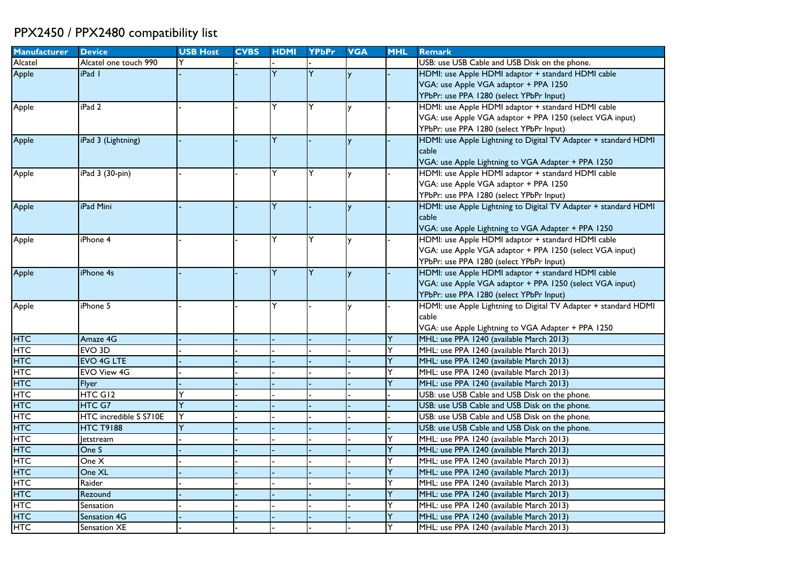## PPX2450 / PPX2480 compatibility list

| <b>Manufacturer</b> | <b>Device</b>          | <b>USB Host</b> | <b>CVBS</b> | <b>HDMI</b>    | <b>YPbPr</b> | <b>VGA</b> | <b>MHL</b> | <b>Remark</b>                                                   |
|---------------------|------------------------|-----------------|-------------|----------------|--------------|------------|------------|-----------------------------------------------------------------|
| Alcatel             | Alcatel one touch 990  |                 |             |                |              |            |            | USB: use USB Cable and USB Disk on the phone.                   |
| Apple               | iPad I                 |                 |             | Y              | Y            |            |            | HDMI: use Apple HDMI adaptor + standard HDMI cable              |
|                     |                        |                 |             |                |              |            |            | VGA: use Apple VGA adaptor + PPA 1250                           |
|                     |                        |                 |             |                |              |            |            | YPbPr: use PPA 1280 (select YPbPr Input)                        |
| Apple               | iPad <sub>2</sub>      |                 |             | Y              | Y            | v          |            | HDMI: use Apple HDMI adaptor + standard HDMI cable              |
|                     |                        |                 |             |                |              |            |            | VGA: use Apple VGA adaptor + PPA 1250 (select VGA input)        |
|                     |                        |                 |             |                |              |            |            | YPbPr: use PPA 1280 (select YPbPr Input)                        |
| Apple               | iPad 3 (Lightning)     |                 |             | Y              |              | y          |            | HDMI: use Apple Lightning to Digital TV Adapter + standard HDMI |
|                     |                        |                 |             |                |              |            |            | cable                                                           |
|                     |                        |                 |             |                |              |            |            | VGA: use Apple Lightning to VGA Adapter + PPA 1250              |
| Apple               | iPad 3 (30-pin)        |                 |             | Υ              | Y            |            |            | HDMI: use Apple HDMI adaptor + standard HDMI cable              |
|                     |                        |                 |             |                |              |            |            | VGA: use Apple VGA adaptor + PPA 1250                           |
|                     |                        |                 |             |                |              |            |            | YPbPr: use PPA 1280 (select YPbPr Input)                        |
| Apple               | iPad Mini              |                 |             | Y              |              | <b>y</b>   |            | HDMI: use Apple Lightning to Digital TV Adapter + standard HDMI |
|                     |                        |                 |             |                |              |            |            | cable                                                           |
|                     |                        |                 |             |                |              |            |            | VGA: use Apple Lightning to VGA Adapter + PPA 1250              |
| Apple               | iPhone 4               |                 |             | Y              | Y            |            |            | HDMI: use Apple HDMI adaptor + standard HDMI cable              |
|                     |                        |                 |             |                |              |            |            | VGA: use Apple VGA adaptor + PPA 1250 (select VGA input)        |
|                     |                        |                 |             |                |              |            |            | YPbPr: use PPA 1280 (select YPbPr Input)                        |
| Apple               | iPhone 4s              |                 |             | $\overline{Y}$ | Ÿ            | <b>V</b>   |            | HDMI: use Apple HDMI adaptor + standard HDMI cable              |
|                     |                        |                 |             |                |              |            |            | VGA: use Apple VGA adaptor + PPA 1250 (select VGA input)        |
|                     |                        |                 |             |                |              |            |            | YPbPr: use PPA 1280 (select YPbPr Input)                        |
| Apple               | iPhone 5               |                 |             | Y              |              |            |            | HDMI: use Apple Lightning to Digital TV Adapter + standard HDMI |
|                     |                        |                 |             |                |              |            |            | cable                                                           |
|                     |                        |                 |             |                |              |            |            | VGA: use Apple Lightning to VGA Adapter + PPA 1250              |
| <b>HTC</b>          | Amaze 4G               |                 |             |                |              |            |            | MHL: use PPA 1240 (available March 2013)                        |
| <b>HTC</b>          | EVO <sub>3D</sub>      |                 |             |                |              |            |            | MHL: use PPA 1240 (available March 2013)                        |
| <b>HTC</b>          | <b>EVO 4G LTE</b>      |                 |             |                |              |            |            | MHL: use PPA 1240 (available March 2013)                        |
| <b>HTC</b>          | <b>EVO View 4G</b>     |                 |             |                |              |            |            | MHL: use PPA 1240 (available March 2013)                        |
| <b>HTC</b>          | <b>Flyer</b>           |                 |             |                |              |            |            | MHL: use PPA 1240 (available March 2013)                        |
| <b>HTC</b>          | HTC GI <sub>2</sub>    |                 |             |                |              |            |            | USB: use USB Cable and USB Disk on the phone.                   |
| <b>HTC</b>          | HTC G7                 | Ÿ               |             |                |              |            |            | USB: use USB Cable and USB Disk on the phone.                   |
| <b>HTC</b>          | HTC incredible S S710E | Ý               |             |                |              |            |            | USB: use USB Cable and USB Disk on the phone.                   |
| <b>HTC</b>          | <b>HTC T9188</b>       |                 |             |                |              |            |            | USB: use USB Cable and USB Disk on the phone.                   |
| <b>HTC</b>          | letstream              |                 |             |                |              |            |            | MHL: use PPA 1240 (available March 2013)                        |
| <b>HTC</b>          | One S                  |                 |             |                |              |            |            | MHL: use PPA 1240 (available March 2013)                        |
| HTC                 | One X                  |                 |             |                |              |            |            | MHL: use PPA 1240 (available March 2013)                        |
| HTC                 | One XL                 |                 |             |                |              |            |            | MHL: use PPA 1240 (available March 2013)                        |
| HTC                 | Raider                 |                 |             |                |              |            |            | MHL: use PPA 1240 (available March 2013)                        |
| HTC                 | Rezound                |                 |             |                |              |            |            | MHL: use PPA 1240 (available March 2013)                        |
| <b>HTC</b>          | Sensation              |                 |             |                |              |            |            | MHL: use PPA 1240 (available March 2013)                        |
| <b>HTC</b>          | Sensation 4G           |                 |             |                |              |            |            | MHL: use PPA 1240 (available March 2013)                        |
| <b>HTC</b>          | Sensation XE           |                 |             |                |              |            |            | MHL: use PPA 1240 (available March 2013)                        |